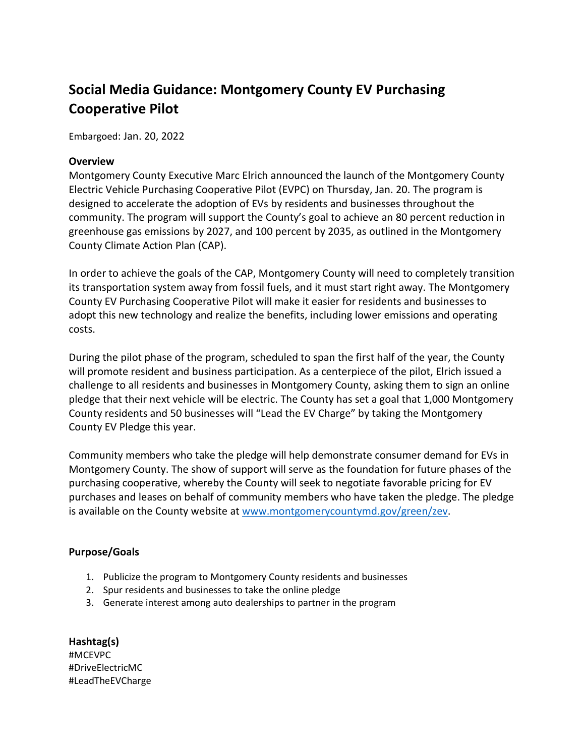## **Social Media Guidance: Montgomery County EV Purchasing Cooperative Pilot**

Embargoed: Jan. 20, 2022

## **Overview**

Montgomery County Executive Marc Elrich announced the launch of the Montgomery County Electric Vehicle Purchasing Cooperative Pilot (EVPC) on Thursday, Jan. 20. The program is designed to accelerate the adoption of EVs by residents and businesses throughout the community. The program will support the County's goal to achieve an 80 percent reduction in greenhouse gas emissions by 2027, and 100 percent by 2035, as outlined in the Montgomery County Climate Action Plan (CAP).

In order to achieve the goals of the CAP, Montgomery County will need to completely transition its transportation system away from fossil fuels, and it must start right away. The Montgomery County EV Purchasing Cooperative Pilot will make it easier for residents and businesses to adopt this new technology and realize the benefits, including lower emissions and operating costs.

During the pilot phase of the program, scheduled to span the first half of the year, the County will promote resident and business participation. As a centerpiece of the pilot, Elrich issued a challenge to all residents and businesses in Montgomery County, asking them to sign an online pledge that their next vehicle will be electric. The County has set a goal that 1,000 Montgomery County residents and 50 businesses will "Lead the EV Charge" by taking the Montgomery County EV Pledge this year.

Community members who take the pledge will help demonstrate consumer demand for EVs in Montgomery County. The show of support will serve as the foundation for future phases of the purchasing cooperative, whereby the County will seek to negotiate favorable pricing for EV purchases and leases on behalf of community members who have taken the pledge. The pledge is available on the County website at [www.montgomerycountymd.gov/green/zev.](http://www.montgomerycountymd.gov/green/zev)

## **Purpose/Goals**

- 1. Publicize the program to Montgomery County residents and businesses
- 2. Spur residents and businesses to take the online pledge
- 3. Generate interest among auto dealerships to partner in the program

**Hashtag(s)** #MCEVPC #DriveElectricMC #LeadTheEVCharge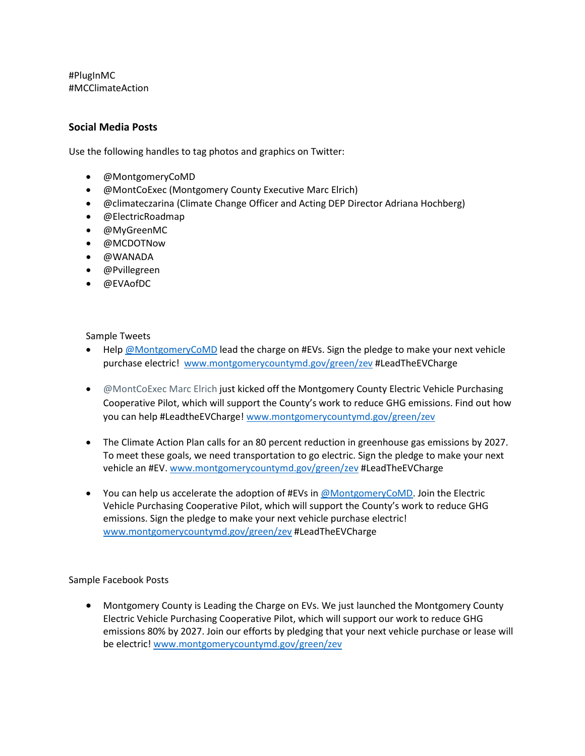#PlugInMC #MCClimateAction

## **Social Media Posts**

Use the following handles to tag photos and graphics on Twitter:

- @MontgomeryCoMD
- @MontCoExec (Montgomery County Executive Marc Elrich)
- @climateczarina (Climate Change Officer and Acting DEP Director Adriana Hochberg)
- @ElectricRoadmap
- @MyGreenMC
- @MCDOTNow
- @WANADA
- @Pvillegreen
- @EVAofDC

Sample Tweets

- Help [@MontgomeryCoMD](mailto:.@MontgomeryCoMD) lead the charge on #EVs. Sign the pledge to make your next vehicle purchase electric! [www.montgomerycountymd.gov/green/zev](http://www.montgomerycountymd.gov/green/zev) #LeadTheEVCharge
- @MontCoExec Marc Elrich just kicked off the Montgomery County Electric Vehicle Purchasing Cooperative Pilot, which will support the County's work to reduce GHG emissions. Find out how you can help #LeadtheEVCharge! [www.montgomerycountymd.gov/green/zev](http://www.montgomerycountymd.gov/green/zev)
- The Climate Action Plan calls for an 80 percent reduction in greenhouse gas emissions by 2027. To meet these goals, we need transportation to go electric. Sign the pledge to make your next vehicle an #EV. [www.montgomerycountymd.gov/green/zev](http://www.montgomerycountymd.gov/green/zev) #LeadTheEVCharge
- You can help us accelerate the adoption of #EVs i[n @MontgomeryCoMD.](mailto:.@MontgomeryCoMD) Join the Electric Vehicle Purchasing Cooperative Pilot, which will support the County's work to reduce GHG emissions. Sign the pledge to make your next vehicle purchase electric! [www.montgomerycountymd.gov/green/zev](http://www.montgomerycountymd.gov/green/zev) #LeadTheEVCharge

Sample Facebook Posts

• Montgomery County is Leading the Charge on EVs. We just launched the Montgomery County Electric Vehicle Purchasing Cooperative Pilot, which will support our work to reduce GHG emissions 80% by 2027. Join our efforts by pledging that your next vehicle purchase or lease will be electric[! www.montgomerycountymd.gov/green/zev](http://www.montgomerycountymd.gov/green/zev)